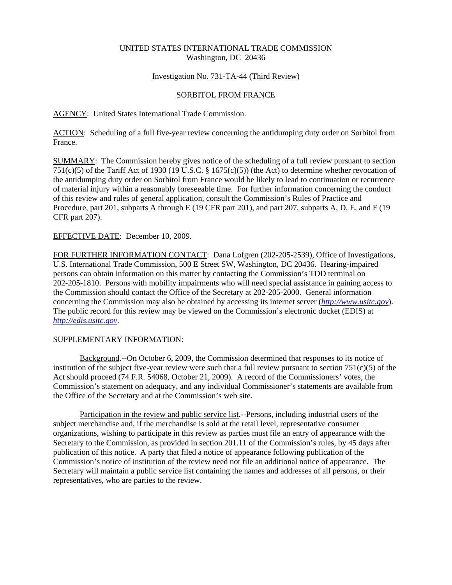# UNITED STATES INTERNATIONAL TRADE COMMISSION Washington, DC 20436

# Investigation No. 731-TA-44 (Third Review)

# SORBITOL FROM FRANCE

# AGENCY: United States International Trade Commission.

ACTION: Scheduling of a full five-year review concerning the antidumping duty order on Sorbitol from France.

SUMMARY: The Commission hereby gives notice of the scheduling of a full review pursuant to section 751(c)(5) of the Tariff Act of 1930 (19 U.S.C. § 1675(c)(5)) (the Act) to determine whether revocation of the antidumping duty order on Sorbitol from France would be likely to lead to continuation or recurrence of material injury within a reasonably foreseeable time. For further information concerning the conduct of this review and rules of general application, consult the Commission's Rules of Practice and Procedure, part 201, subparts A through E (19 CFR part 201), and part 207, subparts A, D, E, and F (19 CFR part 207).

# EFFECTIVE DATE: December 10, 2009.

FOR FURTHER INFORMATION CONTACT: Dana Lofgren (202-205-2539), Office of Investigations, U.S. International Trade Commission, 500 E Street SW, Washington, DC 20436. Hearing-impaired persons can obtain information on this matter by contacting the Commission's TDD terminal on 202-205-1810. Persons with mobility impairments who will need special assistance in gaining access to the Commission should contact the Office of the Secretary at 202-205-2000. General information concerning the Commission may also be obtained by accessing its internet server (*http://www.usitc.gov*). The public record for this review may be viewed on the Commission's electronic docket (EDIS) at *http://edis.usitc.gov*.

#### SUPPLEMENTARY INFORMATION:

Background.--On October 6, 2009, the Commission determined that responses to its notice of institution of the subject five-year review were such that a full review pursuant to section 751(c)(5) of the Act should proceed (74 F.R. 54068, October 21, 2009). A record of the Commissioners' votes, the Commission's statement on adequacy, and any individual Commissioner's statements are available from the Office of the Secretary and at the Commission's web site.

Participation in the review and public service list.--Persons, including industrial users of the subject merchandise and, if the merchandise is sold at the retail level, representative consumer organizations, wishing to participate in this review as parties must file an entry of appearance with the Secretary to the Commission, as provided in section 201.11 of the Commission's rules, by 45 days after publication of this notice. A party that filed a notice of appearance following publication of the Commission's notice of institution of the review need not file an additional notice of appearance. The Secretary will maintain a public service list containing the names and addresses of all persons, or their representatives, who are parties to the review.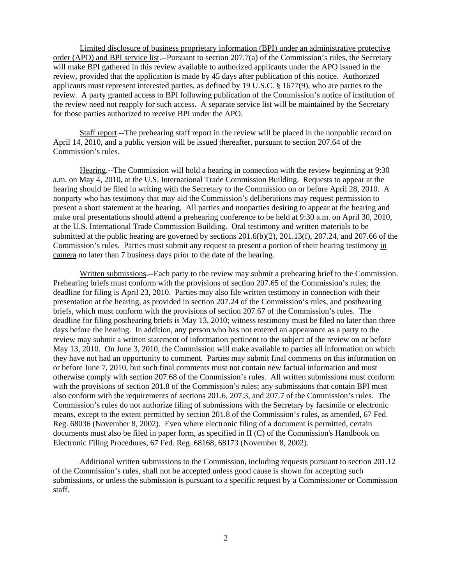Limited disclosure of business proprietary information (BPI) under an administrative protective order (APO) and BPI service list.--Pursuant to section 207.7(a) of the Commission's rules, the Secretary will make BPI gathered in this review available to authorized applicants under the APO issued in the review, provided that the application is made by 45 days after publication of this notice. Authorized applicants must represent interested parties, as defined by 19 U.S.C. § 1677(9), who are parties to the review. A party granted access to BPI following publication of the Commission's notice of institution of the review need not reapply for such access. A separate service list will be maintained by the Secretary for those parties authorized to receive BPI under the APO.

Staff report.--The prehearing staff report in the review will be placed in the nonpublic record on April 14, 2010, and a public version will be issued thereafter, pursuant to section 207.64 of the Commission's rules.

Hearing.--The Commission will hold a hearing in connection with the review beginning at 9:30 a.m. on May 4, 2010, at the U.S. International Trade Commission Building. Requests to appear at the hearing should be filed in writing with the Secretary to the Commission on or before April 28, 2010. A nonparty who has testimony that may aid the Commission's deliberations may request permission to present a short statement at the hearing. All parties and nonparties desiring to appear at the hearing and make oral presentations should attend a prehearing conference to be held at 9:30 a.m. on April 30, 2010, at the U.S. International Trade Commission Building. Oral testimony and written materials to be submitted at the public hearing are governed by sections 201.6(b)(2), 201.13(f), 207.24, and 207.66 of the Commission's rules. Parties must submit any request to present a portion of their hearing testimony in camera no later than 7 business days prior to the date of the hearing.

Written submissions.--Each party to the review may submit a prehearing brief to the Commission. Prehearing briefs must conform with the provisions of section 207.65 of the Commission's rules; the deadline for filing is April 23, 2010. Parties may also file written testimony in connection with their presentation at the hearing, as provided in section 207.24 of the Commission's rules, and posthearing briefs, which must conform with the provisions of section 207.67 of the Commission's rules. The deadline for filing posthearing briefs is May 13, 2010; witness testimony must be filed no later than three days before the hearing. In addition, any person who has not entered an appearance as a party to the review may submit a written statement of information pertinent to the subject of the review on or before May 13, 2010. On June 3, 2010, the Commission will make available to parties all information on which they have not had an opportunity to comment. Parties may submit final comments on this information on or before June 7, 2010, but such final comments must not contain new factual information and must otherwise comply with section 207.68 of the Commission's rules. All written submissions must conform with the provisions of section 201.8 of the Commission's rules; any submissions that contain BPI must also conform with the requirements of sections 201.6, 207.3, and 207.7 of the Commission's rules. The Commission's rules do not authorize filing of submissions with the Secretary by facsimile or electronic means, except to the extent permitted by section 201.8 of the Commission's rules, as amended, 67 Fed. Reg. 68036 (November 8, 2002). Even where electronic filing of a document is permitted, certain documents must also be filed in paper form, as specified in II (C) of the Commission's Handbook on Electronic Filing Procedures, 67 Fed. Reg. 68168, 68173 (November 8, 2002).

Additional written submissions to the Commission, including requests pursuant to section 201.12 of the Commission's rules, shall not be accepted unless good cause is shown for accepting such submissions, or unless the submission is pursuant to a specific request by a Commissioner or Commission staff.